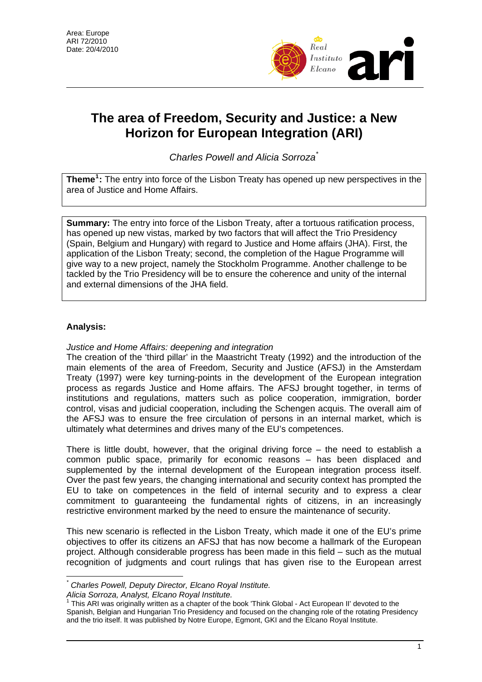

# **The area of Freedom, Security and Justice: a New Horizon for European Integration (ARI)**

*Charles Powell and Alicia Sorroza*[\\*](#page-0-0)

**Theme[1](#page-0-1) :** The entry into force of the Lisbon Treaty has opened up new perspectives in the area of Justice and Home Affairs.

**Summary:** The entry into force of the Lisbon Treaty, after a tortuous ratification process, has opened up new vistas, marked by two factors that will affect the Trio Presidency (Spain, Belgium and Hungary) with regard to Justice and Home affairs (JHA). First, the application of the Lisbon Treaty; second, the completion of the Hague Programme will give way to a new project, namely the Stockholm Programme. Another challenge to be tackled by the Trio Presidency will be to ensure the coherence and unity of the internal and external dimensions of the JHA field.

## **Analysis:**

 $\overline{a}$ 

#### *Justice and Home Affairs: deepening and integration*

The creation of the 'third pillar' in the Maastricht Treaty (1992) and the introduction of the main elements of the area of Freedom, Security and Justice (AFSJ) in the Amsterdam Treaty (1997) were key turning-points in the development of the European integration process as regards Justice and Home affairs. The AFSJ brought together, in terms of institutions and regulations, matters such as police cooperation, immigration, border control, visas and judicial cooperation, including the Schengen acquis. The overall aim of the AFSJ was to ensure the free circulation of persons in an internal market, which is ultimately what determines and drives many of the EU's competences.

There is little doubt, however, that the original driving force  $-$  the need to establish a common public space, primarily for economic reasons – has been displaced and supplemented by the internal development of the European integration process itself. Over the past few years, the changing international and security context has prompted the EU to take on competences in the field of internal security and to express a clear commitment to guaranteeing the fundamental rights of citizens, in an increasingly restrictive environment marked by the need to ensure the maintenance of security.

This new scenario is reflected in the Lisbon Treaty, which made it one of the EU's prime objectives to offer its citizens an AFSJ that has now become a hallmark of the European project. Although considerable progress has been made in this field – such as the mutual recognition of judgments and court rulings that has given rise to the European arrest

*<sup>\*</sup> Charles Powell, Deputy Director, Elcano Royal Institute.* 

<span id="page-0-1"></span><span id="page-0-0"></span>*Alicia Sorroza, Analyst, Elcano Royal Institute.*<br><sup>1</sup> This ARI was originally written as a chapter of the book 'Think Global - Act European II' devoted to the Spanish, Belgian and Hungarian Trio Presidency and focused on the changing role of the rotating Presidency and the trio itself. It was published by Notre Europe, Egmont, GKI and the Elcano Royal Institute.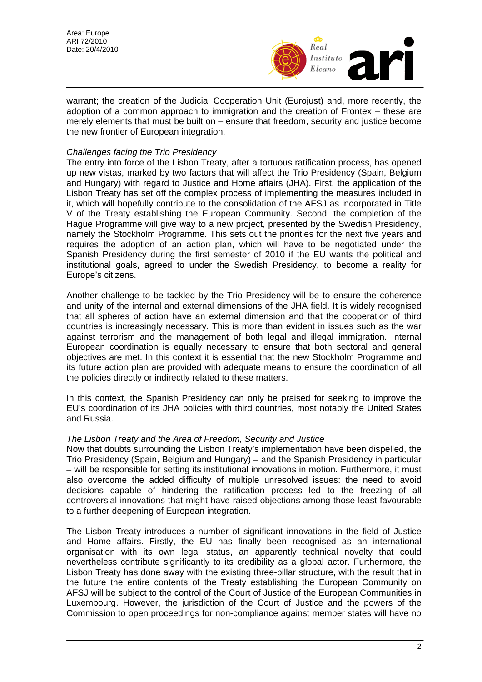Area: Europe ARI 72/2010 Date: 20/4/2010



warrant; the creation of the Judicial Cooperation Unit (Eurojust) and, more recently, the adoption of a common approach to immigration and the creation of Frontex – these are merely elements that must be built on – ensure that freedom, security and justice become the new frontier of European integration.

# *Challenges facing the Trio Presidency*

The entry into force of the Lisbon Treaty, after a tortuous ratification process, has opened up new vistas, marked by two factors that will affect the Trio Presidency (Spain, Belgium and Hungary) with regard to Justice and Home affairs (JHA). First, the application of the Lisbon Treaty has set off the complex process of implementing the measures included in it, which will hopefully contribute to the consolidation of the AFSJ as incorporated in Title V of the Treaty establishing the European Community. Second, the completion of the Hague Programme will give way to a new project, presented by the Swedish Presidency, namely the Stockholm Programme. This sets out the priorities for the next five years and requires the adoption of an action plan, which will have to be negotiated under the Spanish Presidency during the first semester of 2010 if the EU wants the political and institutional goals, agreed to under the Swedish Presidency, to become a reality for Europe's citizens.

Another challenge to be tackled by the Trio Presidency will be to ensure the coherence and unity of the internal and external dimensions of the JHA field. It is widely recognised that all spheres of action have an external dimension and that the cooperation of third countries is increasingly necessary. This is more than evident in issues such as the war against terrorism and the management of both legal and illegal immigration. Internal European coordination is equally necessary to ensure that both sectoral and general objectives are met. In this context it is essential that the new Stockholm Programme and its future action plan are provided with adequate means to ensure the coordination of all the policies directly or indirectly related to these matters.

In this context, the Spanish Presidency can only be praised for seeking to improve the EU's coordination of its JHA policies with third countries, most notably the United States and Russia.

#### *The Lisbon Treaty and the Area of Freedom, Security and Justice*

Now that doubts surrounding the Lisbon Treaty's implementation have been dispelled, the Trio Presidency (Spain, Belgium and Hungary) – and the Spanish Presidency in particular – will be responsible for setting its institutional innovations in motion. Furthermore, it must also overcome the added difficulty of multiple unresolved issues: the need to avoid decisions capable of hindering the ratification process led to the freezing of all controversial innovations that might have raised objections among those least favourable to a further deepening of European integration.

The Lisbon Treaty introduces a number of significant innovations in the field of Justice and Home affairs. Firstly, the EU has finally been recognised as an international organisation with its own legal status, an apparently technical novelty that could nevertheless contribute significantly to its credibility as a global actor. Furthermore, the Lisbon Treaty has done away with the existing three-pillar structure, with the result that in the future the entire contents of the Treaty establishing the European Community on AFSJ will be subject to the control of the Court of Justice of the European Communities in Luxembourg. However, the jurisdiction of the Court of Justice and the powers of the Commission to open proceedings for non-compliance against member states will have no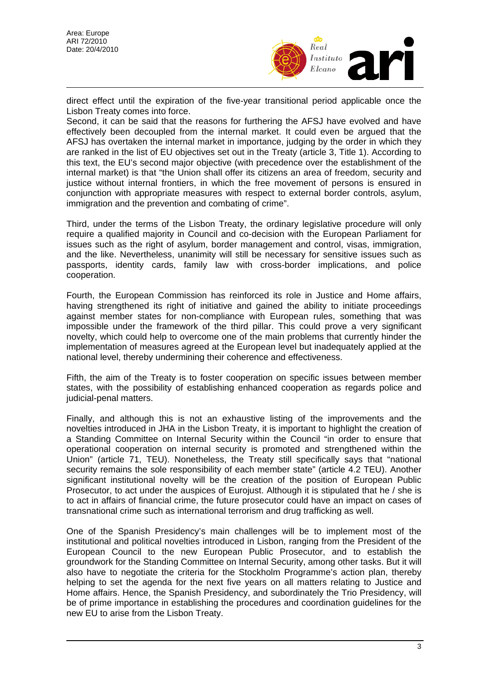

direct effect until the expiration of the five-year transitional period applicable once the Lisbon Treaty comes into force.

Second, it can be said that the reasons for furthering the AFSJ have evolved and have effectively been decoupled from the internal market. It could even be argued that the AFSJ has overtaken the internal market in importance, judging by the order in which they are ranked in the list of EU objectives set out in the Treaty (article 3, Title 1). According to this text, the EU's second major objective (with precedence over the establishment of the internal market) is that "the Union shall offer its citizens an area of freedom, security and justice without internal frontiers, in which the free movement of persons is ensured in conjunction with appropriate measures with respect to external border controls, asylum, immigration and the prevention and combating of crime".

Third, under the terms of the Lisbon Treaty, the ordinary legislative procedure will only require a qualified majority in Council and co-decision with the European Parliament for issues such as the right of asylum, border management and control, visas, immigration, and the like. Nevertheless, unanimity will still be necessary for sensitive issues such as passports, identity cards, family law with cross-border implications, and police cooperation.

Fourth, the European Commission has reinforced its role in Justice and Home affairs, having strengthened its right of initiative and gained the ability to initiate proceedings against member states for non-compliance with European rules, something that was impossible under the framework of the third pillar. This could prove a very significant novelty, which could help to overcome one of the main problems that currently hinder the implementation of measures agreed at the European level but inadequately applied at the national level, thereby undermining their coherence and effectiveness.

Fifth, the aim of the Treaty is to foster cooperation on specific issues between member states, with the possibility of establishing enhanced cooperation as regards police and judicial-penal matters.

Finally, and although this is not an exhaustive listing of the improvements and the novelties introduced in JHA in the Lisbon Treaty, it is important to highlight the creation of a Standing Committee on Internal Security within the Council "in order to ensure that operational cooperation on internal security is promoted and strengthened within the Union" (article 71, TEU). Nonetheless, the Treaty still specifically says that "national security remains the sole responsibility of each member state" (article 4.2 TEU). Another significant institutional novelty will be the creation of the position of European Public Prosecutor, to act under the auspices of Eurojust. Although it is stipulated that he / she is to act in affairs of financial crime, the future prosecutor could have an impact on cases of transnational crime such as international terrorism and drug trafficking as well.

One of the Spanish Presidency's main challenges will be to implement most of the institutional and political novelties introduced in Lisbon, ranging from the President of the European Council to the new European Public Prosecutor, and to establish the groundwork for the Standing Committee on Internal Security, among other tasks. But it will also have to negotiate the criteria for the Stockholm Programme's action plan, thereby helping to set the agenda for the next five years on all matters relating to Justice and Home affairs. Hence, the Spanish Presidency, and subordinately the Trio Presidency, will be of prime importance in establishing the procedures and coordination guidelines for the new EU to arise from the Lisbon Treaty.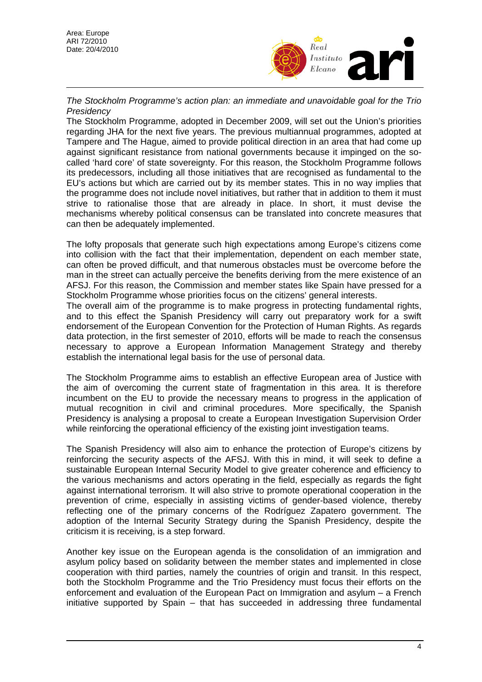

*The Stockholm Programme's action plan: an immediate and unavoidable goal for the Trio Presidency* 

The Stockholm Programme, adopted in December 2009, will set out the Union's priorities regarding JHA for the next five years. The previous multiannual programmes, adopted at Tampere and The Hague, aimed to provide political direction in an area that had come up against significant resistance from national governments because it impinged on the socalled 'hard core' of state sovereignty. For this reason, the Stockholm Programme follows its predecessors, including all those initiatives that are recognised as fundamental to the EU's actions but which are carried out by its member states. This in no way implies that the programme does not include novel initiatives, but rather that in addition to them it must strive to rationalise those that are already in place. In short, it must devise the mechanisms whereby political consensus can be translated into concrete measures that can then be adequately implemented.

The lofty proposals that generate such high expectations among Europe's citizens come into collision with the fact that their implementation, dependent on each member state, can often be proved difficult, and that numerous obstacles must be overcome before the man in the street can actually perceive the benefits deriving from the mere existence of an AFSJ. For this reason, the Commission and member states like Spain have pressed for a Stockholm Programme whose priorities focus on the citizens' general interests.

The overall aim of the programme is to make progress in protecting fundamental rights, and to this effect the Spanish Presidency will carry out preparatory work for a swift endorsement of the European Convention for the Protection of Human Rights. As regards data protection, in the first semester of 2010, efforts will be made to reach the consensus necessary to approve a European Information Management Strategy and thereby establish the international legal basis for the use of personal data.

The Stockholm Programme aims to establish an effective European area of Justice with the aim of overcoming the current state of fragmentation in this area. It is therefore incumbent on the EU to provide the necessary means to progress in the application of mutual recognition in civil and criminal procedures. More specifically, the Spanish Presidency is analysing a proposal to create a European Investigation Supervision Order while reinforcing the operational efficiency of the existing joint investigation teams.

The Spanish Presidency will also aim to enhance the protection of Europe's citizens by reinforcing the security aspects of the AFSJ. With this in mind, it will seek to define a sustainable European Internal Security Model to give greater coherence and efficiency to the various mechanisms and actors operating in the field, especially as regards the fight against international terrorism. It will also strive to promote operational cooperation in the prevention of crime, especially in assisting victims of gender-based violence, thereby reflecting one of the primary concerns of the Rodríguez Zapatero government. The adoption of the Internal Security Strategy during the Spanish Presidency, despite the criticism it is receiving, is a step forward.

Another key issue on the European agenda is the consolidation of an immigration and asylum policy based on solidarity between the member states and implemented in close cooperation with third parties, namely the countries of origin and transit. In this respect, both the Stockholm Programme and the Trio Presidency must focus their efforts on the enforcement and evaluation of the European Pact on Immigration and asylum – a French initiative supported by Spain – that has succeeded in addressing three fundamental